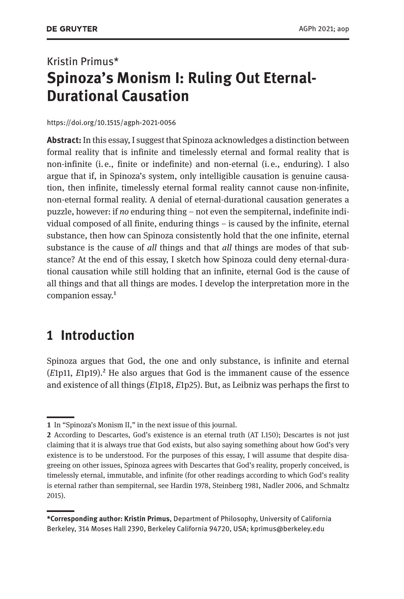# Kristin Primus\* **Spinoza's Monism I: Ruling Out Eternal-Durational Causation**

#### <https://doi.org/10.1515/agph-2021-0056>

**Abstract:** In this essay, I suggest that Spinoza acknowledges a distinction between formal reality that is infinite and timelessly eternal and formal reality that is non-infinite (i. e., finite or indefinite) and non-eternal (i. e., enduring). I also argue that if, in Spinoza's system, only intelligible causation is genuine causation, then infinite, timelessly eternal formal reality cannot cause non-infinite, non-eternal formal reality. A denial of eternal-durational causation generates a puzzle, however: if *no* enduring thing – not even the sempiternal, indefinite individual composed of all finite, enduring things – is caused by the infinite, eternal substance, then how can Spinoza consistently hold that the one infinite, eternal substance is the cause of *all* things and that *all* things are modes of that substance? At the end of this essay, I sketch how Spinoza could deny eternal-durational causation while still holding that an infinite, eternal God is the cause of all things and that all things are modes. I develop the interpretation more in the companion essay.<sup>1</sup>

### **1 Introduction**

Spinoza argues that God, the one and only substance, is infinite and eternal (*E*1p11, *E*1p19).2 He also argues that God is the immanent cause of the essence and existence of all things (*E*1p18, *E*1p25). But, as Leibniz was perhaps the first to

**<sup>1</sup>** In "Spinoza's Monism II," in the next issue of this journal.

**<sup>2</sup>** According to Descartes, God's existence is an eternal truth (AT I.150); Descartes is not just claiming that it is always true that God exists, but also saying something about how God's very existence is to be understood. For the purposes of this essay, I will assume that despite disagreeing on other issues, Spinoza agrees with Descartes that God's reality, properly conceived, is timelessly eternal, immutable, and infinite (for other readings according to which God's reality is eternal rather than sempiternal, see Hardin 1978, Steinberg 1981, Nadler 2006, and Schmaltz 2015).

**<sup>\*</sup>Corresponding author: Kristin Primus**, Department of Philosophy, University of California Berkeley, 314 Moses Hall 2390, Berkeley California 94720, USA; [kprimus@berkeley.edu](mailto:kprimus@berkeley.edu)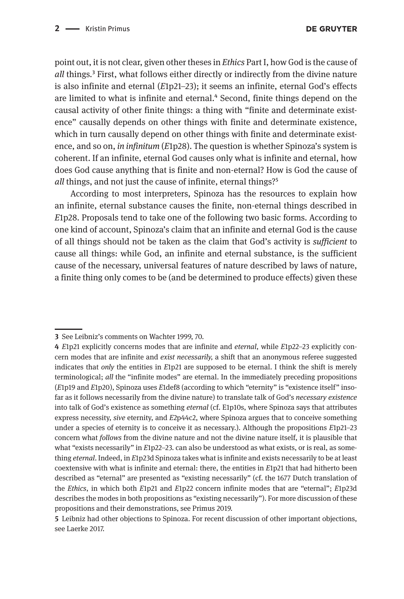point out, it is not clear, given other theses in *Ethics* Part I, how God is the cause of *all* things*.*3 First, what follows either directly or indirectly from the divine nature is also infinite and eternal (*E*1p21–23); it seems an infinite, eternal God's effects are limited to what is infinite and eternal.<sup>4</sup> Second, finite things depend on the causal activity of other finite things: a thing with "finite and determinate existence" causally depends on other things with finite and determinate existence, which in turn causally depend on other things with finite and determinate existence, and so on, *in infinitum* (*E*1p28). The question is whether Spinoza's system is coherent. If an infinite, eternal God causes only what is infinite and eternal, how does God cause anything that is finite and non-eternal? How is God the cause of *all* things, and not just the cause of infinite, eternal things?<sup>5</sup>

According to most interpreters, Spinoza has the resources to explain how an infinite, eternal substance causes the finite, non-eternal things described in *E*1p28. Proposals tend to take one of the following two basic forms. According to one kind of account, Spinoza's claim that an infinite and eternal God is the cause of all things should not be taken as the claim that God's activity is *sufficient* to cause all things: while God, an infinite and eternal substance, is the sufficient cause of the necessary, universal features of nature described by laws of nature, a finite thing only comes to be (and be determined to produce effects) given these

**<sup>3</sup>** See Leibniz's comments on Wachter 1999, 70.

**<sup>4</sup>** *E*1p21 explicitly concerns modes that are infinite and *eternal*, while *E*1p22–23 explicitly concern modes that are infinite and *exist necessarily,* a shift that an anonymous referee suggested indicates that *only* the entities in *E*1p21 are supposed to be eternal. I think the shift is merely terminological; *all* the "infinite modes" are eternal. In the immediately preceding propositions (*E*1p19 and *E*1p20), Spinoza uses *E*1def8 (according to which "eternity" is "existence itself" insofar as it follows necessarily from the divine nature) to translate talk of God's *necessary existence*  into talk of God's existence as something *eternal* (cf. E1p10s, where Spinoza says that attributes express necessity, *sive* eternity, and *E*2p44c2, where Spinoza argues that to conceive something under a species of eternity is to conceive it as necessary.). Although the propositions *E*1p21–23 concern what *follows* from the divine nature and not the divine nature itself, it is plausible that what "exists necessarily" in *E*1p22–23. can also be understood as what exists, or is real, as something *eternal*. Indeed, in *E*1p23d Spinoza takes what is infinite and exists necessarily to be at least coextensive with what is infinite and eternal: there, the entities in *E*1p21 that had hitherto been described as "eternal" are presented as "existing necessarily" (cf. the 1677 Dutch translation of the *Ethics*, in which both *E*1p21 and *E*1p22 concern infinite modes that are "eternal"; *E*1p23d describes the modes in both propositions as "existing necessarily"). For more discussion of these propositions and their demonstrations, see Primus 2019.

**<sup>5</sup>** Leibniz had other objections to Spinoza. For recent discussion of other important objections, see Laerke 2017.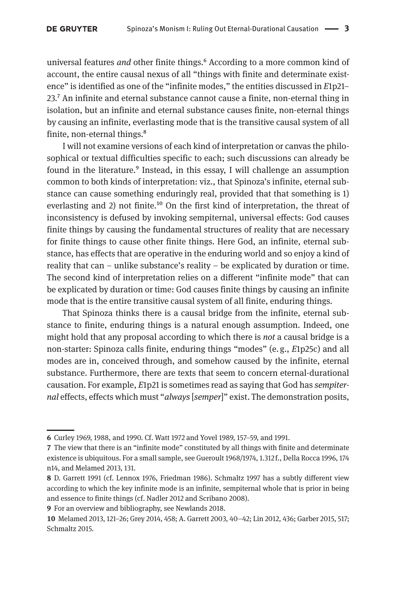universal features *and* other finite things.<sup>6</sup> According to a more common kind of account, the entire causal nexus of all "things with finite and determinate existence" is identified as one of the "infinite modes," the entities discussed in *E*1p21– 23.7 An infinite and eternal substance cannot cause a finite, non-eternal thing in isolation, but an infinite and eternal substance causes finite, non-eternal things by causing an infinite, everlasting mode that is the transitive causal system of all finite, non-eternal things.<sup>8</sup>

I will not examine versions of each kind of interpretation or canvas the philosophical or textual difficulties specific to each; such discussions can already be found in the literature.<sup>9</sup> Instead, in this essay, I will challenge an assumption common to both kinds of interpretation: viz., that Spinoza's infinite, eternal substance can cause something enduringly real, provided that that something is 1) everlasting and 2) not finite.<sup>10</sup> On the first kind of interpretation, the threat of inconsistency is defused by invoking sempiternal, universal effects: God causes finite things by causing the fundamental structures of reality that are necessary for finite things to cause other finite things. Here God, an infinite, eternal substance, has effects that are operative in the enduring world and so enjoy a kind of reality that can – unlike substance's reality – be explicated by duration or time. The second kind of interpretation relies on a different "infinite mode" that can be explicated by duration or time: God causes finite things by causing an infinite mode that is the entire transitive causal system of all finite, enduring things.

That Spinoza thinks there is a causal bridge from the infinite, eternal substance to finite, enduring things is a natural enough assumption. Indeed, one might hold that any proposal according to which there is *not* a causal bridge is a non-starter: Spinoza calls finite, enduring things "modes" (e. g., *E*1p25c) and all modes are in, conceived through, and somehow caused by the infinite, eternal substance. Furthermore, there are texts that seem to concern eternal-durational causation. For example, *E*1p21 is sometimes read as saying that God has *sempiternal* effects, effects which must "*always* [*semper*]" exist. The demonstration posits,

**<sup>6</sup>** Curley 1969, 1988, and 1990. Cf. Watt 1972 and Yovel 1989, 157–59, and 1991.

**<sup>7</sup>** The view that there is an "infinite mode" constituted by all things with finite and determinate existence is ubiquitous. For a small sample, see Gueroult 1968/1974, 1.312 f., Della Rocca 1996, 174 n14, and Melamed 2013, 131.

**<sup>8</sup>** D. Garrett 1991 (cf. Lennox 1976, Friedman 1986). Schmaltz 1997 has a subtly different view according to which the key infinite mode is an infinite, sempiternal whole that is prior in being and essence to finite things (cf. Nadler 2012 and Scribano 2008).

**<sup>9</sup>** For an overview and bibliography, see Newlands 2018.

**<sup>10</sup>** Melamed 2013, 121–26; Grey 2014, 458; A. Garrett 2003, 40–42; Lin 2012, 436; Garber 2015, 517; Schmaltz 2015.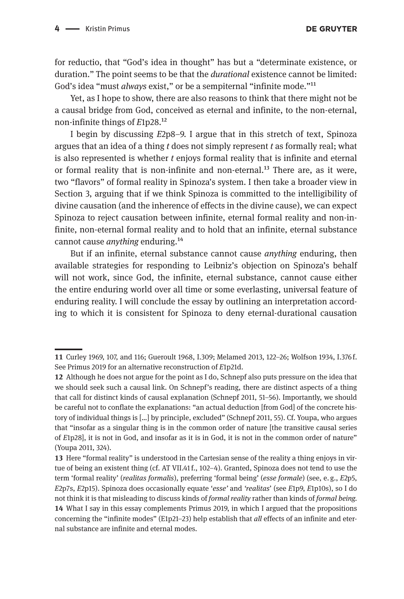for reductio, that "God's idea in thought" has but a "determinate existence, or duration." The point seems to be that the *durational* existence cannot be limited: God's idea "must *always* exist," or be a sempiternal "infinite mode."11

Yet, as I hope to show, there are also reasons to think that there might not be a causal bridge from God, conceived as eternal and infinite, to the non-eternal, non-infinite things of *E*1p28.12

I begin by discussing *E*2p8–9. I argue that in this stretch of text, Spinoza argues that an idea of a thing *t* does not simply represent *t* as formally real; what is also represented is whether *t* enjoys formal reality that is infinite and eternal or formal reality that is non-infinite and non-eternal.<sup>13</sup> There are, as it were, two "flavors" of formal reality in Spinoza's system. I then take a broader view in Section 3, arguing that if we think Spinoza is committed to the intelligibility of divine causation (and the inherence of effects in the divine cause), we can expect Spinoza to reject causation between infinite, eternal formal reality and non-infinite, non-eternal formal reality and to hold that an infinite, eternal substance cannot cause *anything* enduring.14

But if an infinite, eternal substance cannot cause *anything* enduring, then available strategies for responding to Leibniz's objection on Spinoza's behalf will not work, since God, the infinite, eternal substance, cannot cause either the entire enduring world over all time or some everlasting, universal feature of enduring reality. I will conclude the essay by outlining an interpretation according to which it is consistent for Spinoza to deny eternal-durational causation

**<sup>11</sup>** Curley 1969, 107, and 116; Gueroult 1968, I.309; Melamed 2013, 122–26; Wolfson 1934, I.376 f. See Primus 2019 for an alternative reconstruction of *E*1p21d.

**<sup>12</sup>** Although he does not argue for the point as I do, Schnepf also puts pressure on the idea that we should seek such a causal link. On Schnepf's reading, there are distinct aspects of a thing that call for distinct kinds of causal explanation (Schnepf 2011, 51–56). Importantly, we should be careful not to conflate the explanations: "an actual deduction [from God] of the concrete history of individual things is […] by principle, excluded" (Schnepf 2011, 55). Cf. Youpa, who argues that "insofar as a singular thing is in the common order of nature [the transitive causal series of *E*1p28], it is not in God, and insofar as it is in God, it is not in the common order of nature" (Youpa 2011, 324).

**<sup>13</sup>** Here "formal reality" is understood in the Cartesian sense of the reality a thing enjoys in virtue of being an existent thing (cf. AT VII.41 f., 102–4). Granted, Spinoza does not tend to use the term 'formal reality' (*realitas formalis*), preferring 'formal being' (*esse formale*) (see, e. g., *E*2p5, *E*2p7s, *E*2p15). Spinoza does occasionally equate '*esse'* and *'realitas*' (see *E*1p9, *E*1p10s), so I do not think it is that misleading to discuss kinds of *formal reality* rather than kinds of *formal being.* **14** What I say in this essay complements Primus 2019, in which I argued that the propositions concerning the "infinite modes" (E1p21–23) help establish that *all* effects of an infinite and eternal substance are infinite and eternal modes.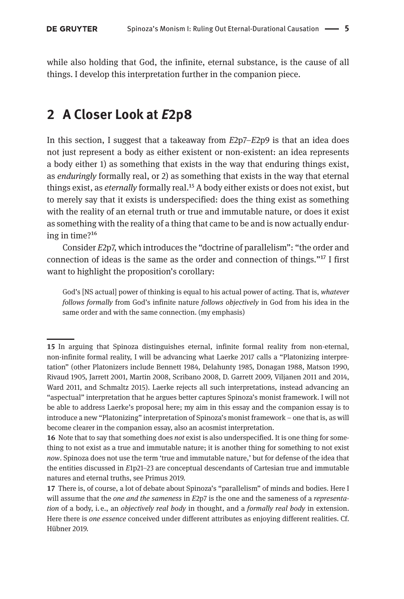while also holding that God, the infinite, eternal substance, is the cause of all things. I develop this interpretation further in the companion piece.

# **2 A Closer Look at** *E***2p8**

In this section, I suggest that a takeaway from *E*2p7–*E*2p9 is that an idea does not just represent a body as either existent or non-existent: an idea represents a body either 1) as something that exists in the way that enduring things exist, as *enduringly* formally real, or 2) as something that exists in the way that eternal things exist, as *eternally* formally real.15 A body either exists or does not exist, but to merely say that it exists is underspecified: does the thing exist as something with the reality of an eternal truth or true and immutable nature, or does it exist as something with the reality of a thing that came to be and is now actually enduring in time?16

Consider *E*2p7, which introduces the "doctrine of parallelism": "the order and connection of ideas is the same as the order and connection of things."17 I first want to highlight the proposition's corollary:

God's [NS actual] power of thinking is equal to his actual power of acting. That is, *whatever follows formally* from God's infinite nature *follows objectively* in God from his idea in the same order and with the same connection. (my emphasis)

**<sup>15</sup>** In arguing that Spinoza distinguishes eternal, infinite formal reality from non-eternal, non-infinite formal reality, I will be advancing what Laerke 2017 calls a "Platonizing interpretation" (other Platonizers include Bennett 1984, Delahunty 1985, Donagan 1988, Matson 1990, Rivaud 1905, Jarrett 2001, Martin 2008, Scribano 2008, D. Garrett 2009, Viljanen 2011 and 2014, Ward 2011, and Schmaltz 2015). Laerke rejects all such interpretations, instead advancing an "aspectual" interpretation that he argues better captures Spinoza's monist framework. I will not be able to address Laerke's proposal here; my aim in this essay and the companion essay is to introduce a new "Platonizing" interpretation of Spinoza's monist framework – one that is, as will become clearer in the companion essay, also an acosmist interpretation.

**<sup>16</sup>** Note that to say that something does *not* exist is also underspecified. It is one thing for something to not exist as a true and immutable nature; it is another thing for something to not exist *now*. Spinoza does not use the term 'true and immutable nature,' but for defense of the idea that the entities discussed in *E*1p21–23 are conceptual descendants of Cartesian true and immutable natures and eternal truths, see Primus 2019.

**<sup>17</sup>** There is, of course, a lot of debate about Spinoza's "parallelism" of minds and bodies. Here I will assume that the *one and the sameness* in *E*2p7 is the one and the sameness of a *representation* of a body, i. e., an *objectively real body* in thought, and a *formally real body* in extension. Here there is *one essence* conceived under different attributes as enjoying different realities. Cf. Hübner 2019.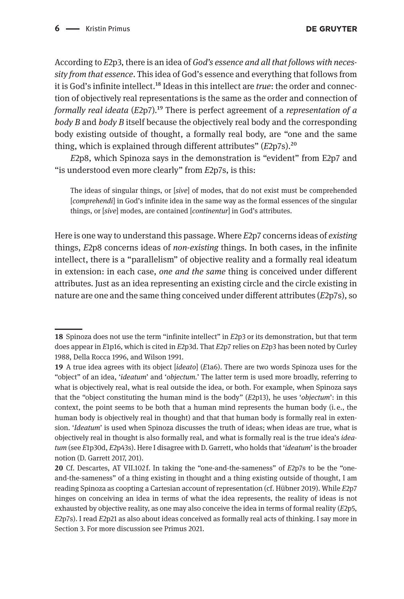According to *E*2p3, there is an idea of *God's essence and all that follows with necessity from that essence*. This idea of God's essence and everything that follows from it is God's infinite intellect.18 Ideas in this intellect are *true*: the order and connection of objectively real representations is the same as the order and connection of *formally real ideata* (*E*2p7)*.*19 There is perfect agreement of a *representation of a body B* and *body B* itself because the objectively real body and the corresponding body existing outside of thought, a formally real body, are "one and the same thing, which is explained through different attributes" (*E*2p7s).20

*E*2p8, which Spinoza says in the demonstration is "evident" from E2p7 and "is understood even more clearly" from *E*2p7s, is this:

The ideas of singular things, or [*sive*] of modes, that do not exist must be comprehended [*comprehendi*] in God's infinite idea in the same way as the formal essences of the singular things, or [*sive*] modes, are contained [*continentur*] in God's attributes.

Here is one way to understand this passage. Where *E*2p7 concerns ideas of *existing*  things, *E*2p8 concerns ideas of *non-existing* things. In both cases, in the infinite intellect, there is a "parallelism" of objective reality and a formally real ideatum in extension: in each case, *one and the same* thing is conceived under different attributes. Just as an idea representing an existing circle and the circle existing in nature are one and the same thing conceived under different attributes (*E*2p7s), so

**<sup>18</sup>** Spinoza does not use the term "infinite intellect" in *E*2p3 or its demonstration, but that term does appear in *E*1p16, which is cited in *E*2p3d. That *E*2p7 relies on *E*2p3 has been noted by Curley 1988, Della Rocca 1996, and Wilson 1991.

**<sup>19</sup>** A true idea agrees with its object [*ideato*] (*E*1a6). There are two words Spinoza uses for the "object" of an idea, '*ideatum*' and '*objectum.*' The latter term is used more broadly, referring to what is objectively real, what is real outside the idea, or both. For example, when Spinoza says that the "object constituting the human mind is the body" (*E*2p13), he uses '*objectum*': in this context, the point seems to be both that a human mind represents the human body (i. e., the human body is objectively real in thought) and that that human body is formally real in extension. '*Ideatum*' is used when Spinoza discusses the truth of ideas; when ideas are true, what is objectively real in thought is also formally real, and what is formally real is the true idea's *ideatum* (see *E*1p30d, *E*2p43s). Here I disagree with D. Garrett, who holds that '*ideatum*' is the broader notion (D. Garrett 2017, 201).

**<sup>20</sup>** Cf. Descartes, AT VII.102 f. In taking the "one-and-the-sameness" of *E*2p7s to be the "oneand-the-sameness" of a thing existing in thought and a thing existing outside of thought, I am reading Spinoza as coopting a Cartesian account of representation (cf. Hübner 2019). While *E*2p7 hinges on conceiving an idea in terms of what the idea represents, the reality of ideas is not exhausted by objective reality, as one may also conceive the idea in terms of formal reality (*E*2p5, *E*2p7s). I read *E*2p21 as also about ideas conceived as formally real acts of thinking. I say more in Section 3. For more discussion see Primus 2021.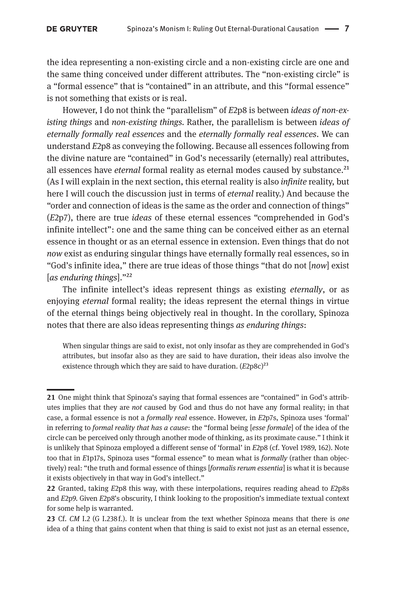the idea representing a non-existing circle and a non-existing circle are one and the same thing conceived under different attributes. The "non-existing circle" is a "formal essence" that is "contained" in an attribute, and this "formal essence" is not something that exists or is real.

However, I do not think the "parallelism" of *E*2p8 is between *ideas of non-existing things* and *non-existing things.* Rather, the parallelism is between *ideas of eternally formally real essences* and the *eternally formally real essences*. We can understand *E*2p8 as conveying the following. Because all essences following from the divine nature are "contained" in God's necessarily (eternally) real attributes, all essences have *eternal* formal reality as eternal modes caused by substance.<sup>21</sup> (As I will explain in the next section, this eternal reality is also *infinite* reality, but here I will couch the discussion just in terms of *eternal* reality.) And because the "order and connection of ideas is the same as the order and connection of things" (*E*2p7), there are true *ideas* of these eternal essences "comprehended in God's infinite intellect": one and the same thing can be conceived either as an eternal essence in thought or as an eternal essence in extension. Even things that do not *now* exist as enduring singular things have eternally formally real essences, so in "God's infinite idea," there are true ideas of those things "that do not [*now*] exist [*as enduring things*]."22

The infinite intellect's ideas represent things as existing *eternally*, or as enjoying *eternal* formal reality; the ideas represent the eternal things in virtue of the eternal things being objectively real in thought. In the corollary, Spinoza notes that there are also ideas representing things *as enduring things*:

When singular things are said to exist, not only insofar as they are comprehended in God's attributes, but insofar also as they are said to have duration, their ideas also involve the existence through which they are said to have duration. (*E*2p8c)<sup>23</sup>

**<sup>21</sup>** One might think that Spinoza's saying that formal essences are "contained" in God's attributes implies that they are *not* caused by God and thus do not have any formal reality; in that case, a formal essence is not a *formally real* essence. However, in *E*2p7s, Spinoza uses 'formal' in referring to *formal reality that has a cause*: the "formal being [*esse formale*] of the idea of the circle can be perceived only through another mode of thinking, as its proximate cause." I think it is unlikely that Spinoza employed a different sense of 'formal' in *E*2p8 (cf. Yovel 1989, 162). Note too that in *E*1p17s, Spinoza uses "formal essence" to mean what is *formally* (rather than objectively) real: "the truth and formal essence of things [*formalis rerum essentia*] is what it is because it exists objectively in that way in God's intellect."

**<sup>22</sup>** Granted, taking *E*2p8 this way, with these interpolations, requires reading ahead to *E*2p8s and *E*2p9. Given *E*2p8's obscurity, I think looking to the proposition's immediate textual context for some help is warranted.

**<sup>23</sup>** Cf. *CM* I.2 (G I.238 f.). It is unclear from the text whether Spinoza means that there is *one*  idea of a thing that gains content when that thing is said to exist not just as an eternal essence,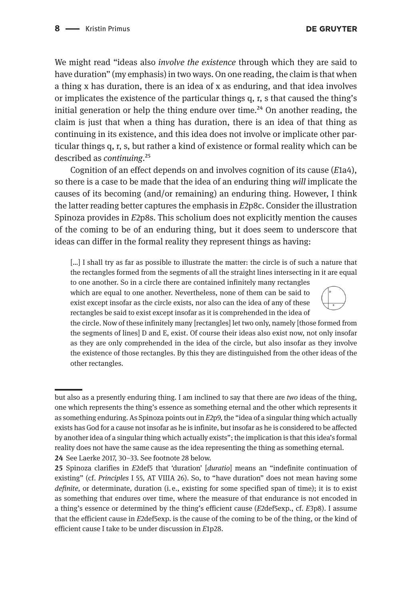We might read "ideas also *involve the existence* through which they are said to have duration" (my emphasis) in two ways. On one reading, the claim is that when a thing x has duration, there is an idea of x as enduring, and that idea involves or implicates the existence of the particular things q, r, s that caused the thing's initial generation or help the thing endure over time.<sup>24</sup> On another reading, the claim is just that when a thing has duration, there is an idea of that thing as continuing in its existence, and this idea does not involve or implicate other particular things q, r, s, but rather a kind of existence or formal reality which can be described as *continuing*.25

Cognition of an effect depends on and involves cognition of its cause (*E*1a4), so there is a case to be made that the idea of an enduring thing *will* implicate the causes of its becoming (and/or remaining) an enduring thing. However, I think the latter reading better captures the emphasis in *E*2p8c. Consider the illustration Spinoza provides in *E*2p8s. This scholium does not explicitly mention the causes of the coming to be of an enduring thing, but it does seem to underscore that ideas can differ in the formal reality they represent things as having:

[…] I shall try as far as possible to illustrate the matter: the circle is of such a nature that the rectangles formed from the segments of all the straight lines intersecting in it are equal

to one another. So in a circle there are contained infinitely many rectangles which are equal to one another. Nevertheless, none of them can be said to exist except insofar as the circle exists, nor also can the idea of any of these rectangles be said to exist except insofar as it is comprehended in the idea of



the circle. Now of these infinitely many [rectangles] let two only, namely [those formed from the segments of lines] D and E, exist. Of course their ideas also exist now, not only insofar as they are only comprehended in the idea of the circle, but also insofar as they involve the existence of those rectangles. By this they are distinguished from the other ideas of the other rectangles.

but also as a presently enduring thing. I am inclined to say that there are *two* ideas of the thing, one which represents the thing's essence as something eternal and the other which represents it as something enduring. As Spinoza points out in *E*2p9, the "idea of a singular thing which actually exists has God for a cause not insofar as he is infinite, but insofar as he is considered to be affected by another idea of a singular thing which actually exists"; the implication is that this idea's formal reality does not have the same cause as the idea representing the thing as something eternal. **24** See Laerke 2017, 30–33. See footnote 28 below.

**<sup>25</sup>** Spinoza clarifies in *E*2def5 that 'duration' [*duratio*] means an "indefinite continuation of existing" (cf. *Principles* I 55, AT VIIIA 26). So, to "have duration" does not mean having some *definite,* or determinate*,* duration (i. e., existing for some specified span of time); it is to exist as something that endures over time, where the measure of that endurance is not encoded in a thing's essence or determined by the thing's efficient cause (*E*2def5exp., cf. *E*3p8). I assume that the efficient cause in *E*2def5exp. is the cause of the coming to be of the thing, or the kind of efficient cause I take to be under discussion in *E*1p28.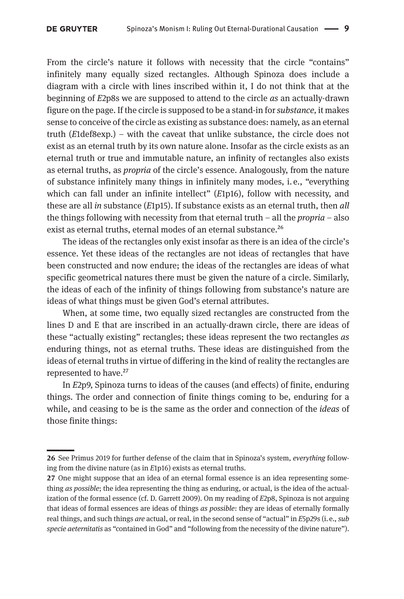From the circle's nature it follows with necessity that the circle "contains" infinitely many equally sized rectangles. Although Spinoza does include a diagram with a circle with lines inscribed within it, I do not think that at the beginning of *E*2p8s we are supposed to attend to the circle *as* an actually-drawn figure on the page. If the circle is supposed to be a stand-in for *substance,* it makes sense to conceive of the circle as existing as substance does: namely, as an eternal truth (*E*1def8exp.) – with the caveat that unlike substance, the circle does not exist as an eternal truth by its own nature alone. Insofar as the circle exists as an eternal truth or true and immutable nature, an infinity of rectangles also exists as eternal truths, as *propria* of the circle's essence. Analogously, from the nature of substance infinitely many things in infinitely many modes, i. e., "everything which can fall under an infinite intellect" (*E*1p16), follow with necessity, and these are all *in* substance (*E*1p15). If substance exists as an eternal truth, then *all*  the things following with necessity from that eternal truth – all the *propria* – also exist as eternal truths, eternal modes of an eternal substance.<sup>26</sup>

The ideas of the rectangles only exist insofar as there is an idea of the circle's essence. Yet these ideas of the rectangles are not ideas of rectangles that have been constructed and now endure; the ideas of the rectangles are ideas of what specific geometrical natures there must be given the nature of a circle. Similarly, the ideas of each of the infinity of things following from substance's nature are ideas of what things must be given God's eternal attributes.

When, at some time, two equally sized rectangles are constructed from the lines D and E that are inscribed in an actually-drawn circle, there are ideas of these "actually existing" rectangles; these ideas represent the two rectangles *as*  enduring things, not as eternal truths. These ideas are distinguished from the ideas of eternal truths in virtue of differing in the kind of reality the rectangles are represented to have.<sup>27</sup>

In *E*2p9, Spinoza turns to ideas of the causes (and effects) of finite, enduring things. The order and connection of finite things coming to be, enduring for a while, and ceasing to be is the same as the order and connection of the *ideas* of those finite things:

**<sup>26</sup>** See Primus 2019 for further defense of the claim that in Spinoza's system, *everything* following from the divine nature (as in *E*1p16) exists as eternal truths.

**<sup>27</sup>** One might suppose that an idea of an eternal formal essence is an idea representing something *as possible*; the idea representing the thing as enduring, or actual, is the idea of the actualization of the formal essence (cf. D. Garrett 2009). On my reading of *E*2p8, Spinoza is not arguing that ideas of formal essences are ideas of things *as possible*: they are ideas of eternally formally real things, and such things *are* actual, or real, in the second sense of "actual" in *E*5p29s (i. e., *sub specie aeternitatis* as "contained in God" and "following from the necessity of the divine nature").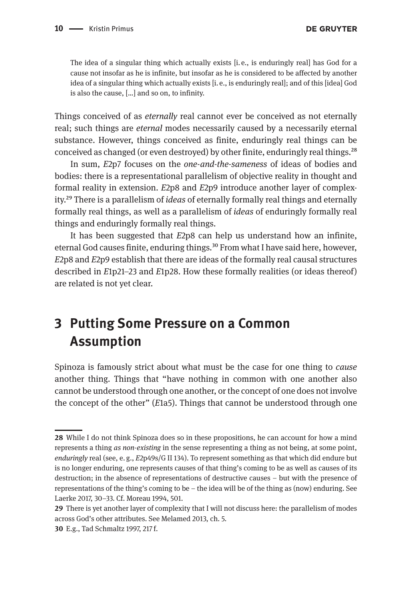The idea of a singular thing which actually exists [i. e., is enduringly real] has God for a cause not insofar as he is infinite, but insofar as he is considered to be affected by another idea of a singular thing which actually exists [i. e., is enduringly real]; and of this [idea] God is also the cause, […] and so on, to infinity.

Things conceived of as *eternally* real cannot ever be conceived as not eternally real; such things are *eternal* modes necessarily caused by a necessarily eternal substance. However, things conceived as finite, enduringly real things can be conceived as changed (or even destroyed) by other finite, enduringly real things.<sup>28</sup>

In sum, *E*2p7 focuses on the *one-and-the-sameness* of ideas of bodies and bodies: there is a representational parallelism of objective reality in thought and formal reality in extension. *E*2p8 and *E*2p9 introduce another layer of complexity.29 There is a parallelism of *ideas* of eternally formally real things and eternally formally real things, as well as a parallelism of *ideas* of enduringly formally real things and enduringly formally real things.

It has been suggested that *E*2p8 can help us understand how an infinite, eternal God causes finite, enduring things.<sup>30</sup> From what I have said here, however, *E*2p8 and *E*2p9 establish that there are ideas of the formally real causal structures described in *E*1p21–23 and *E*1p28. How these formally realities (or ideas thereof) are related is not yet clear.

# **3 Putting Some Pressure on a Common Assumption**

Spinoza is famously strict about what must be the case for one thing to *cause*  another thing. Things that "have nothing in common with one another also cannot be understood through one another, or the concept of one does not involve the concept of the other" (*E*1a5). Things that cannot be understood through one

**<sup>28</sup>** While I do not think Spinoza does so in these propositions, he can account for how a mind represents a thing *as non-existing* in the sense representing a thing as not being, at some point, *enduringly* real (see, e. g., *E*2p49s/G II 134). To represent something as that which did endure but is no longer enduring, one represents causes of that thing's coming to be as well as causes of its destruction; in the absence of representations of destructive causes – but with the presence of representations of the thing's coming to be – the idea will be of the thing as (now) enduring. See Laerke 2017, 30–33. Cf. Moreau 1994, 501.

**<sup>29</sup>** There is yet another layer of complexity that I will not discuss here: the parallelism of modes across God's other attributes. See Melamed 2013, ch. 5.

**<sup>30</sup>** E.g., Tad Schmaltz 1997, 217 f.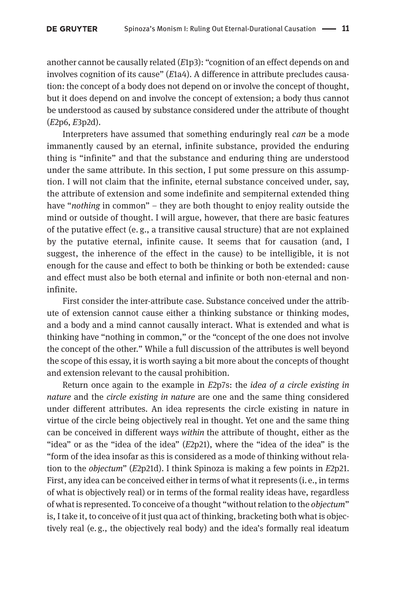another cannot be causally related (*E*1p3): "cognition of an effect depends on and involves cognition of its cause" (*E*1a4). A difference in attribute precludes causation: the concept of a body does not depend on or involve the concept of thought, but it does depend on and involve the concept of extension; a body thus cannot be understood as caused by substance considered under the attribute of thought (*E*2p6, *E*3p2d).

Interpreters have assumed that something enduringly real *can* be a mode immanently caused by an eternal, infinite substance, provided the enduring thing is "infinite" and that the substance and enduring thing are understood under the same attribute. In this section, I put some pressure on this assumption. I will not claim that the infinite, eternal substance conceived under, say, the attribute of extension and some indefinite and sempiternal extended thing have "*nothing* in common" – they are both thought to enjoy reality outside the mind or outside of thought. I will argue, however, that there are basic features of the putative effect (e.  g., a transitive causal structure) that are not explained by the putative eternal, infinite cause. It seems that for causation (and, I suggest, the inherence of the effect in the cause) to be intelligible, it is not enough for the cause and effect to both be thinking or both be extended: cause and effect must also be both eternal and infinite or both non-eternal and noninfinite.

First consider the inter-attribute case. Substance conceived under the attribute of extension cannot cause either a thinking substance or thinking modes, and a body and a mind cannot causally interact. What is extended and what is thinking have "nothing in common," or the "concept of the one does not involve the concept of the other." While a full discussion of the attributes is well beyond the scope of this essay, it is worth saying a bit more about the concepts of thought and extension relevant to the causal prohibition.

Return once again to the example in *E*2p7s: the *idea of a circle existing in nature* and the *circle existing in nature* are one and the same thing considered under different attributes. An idea represents the circle existing in nature in virtue of the circle being objectively real in thought. Yet one and the same thing can be conceived in different ways *within* the attribute of thought, either as the "idea" or as the "idea of the idea" (*E*2p21), where the "idea of the idea" is the "form of the idea insofar as this is considered as a mode of thinking without relation to the *objectum*" (*E*2p21d). I think Spinoza is making a few points in *E*2p21. First, any idea can be conceived either in terms of what it represents (i. e., in terms of what is objectively real) or in terms of the formal reality ideas have, regardless of what is represented. To conceive of a thought "without relation to the *objectum*" is, I take it, to conceive of it just qua act of thinking, bracketing both what is objectively real (e. g., the objectively real body) and the idea's formally real ideatum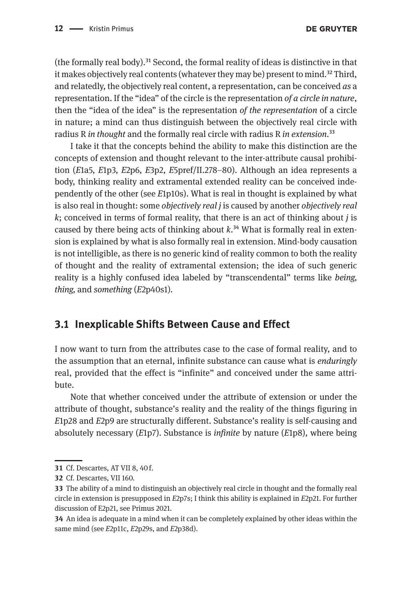(the formally real body).<sup>31</sup> Second, the formal reality of ideas is distinctive in that it makes objectively real contents (whatever they may be) present to mind.<sup>32</sup> Third, and relatedly, the objectively real content, a representation, can be conceived *as* a representation. If the "idea" of the circle is the representation *of a circle in nature*, then the "idea of the idea" is the representation *of the representation* of a circle in nature; a mind can thus distinguish between the objectively real circle with radius R *in thought* and the formally real circle with radius R *in extension*.33

I take it that the concepts behind the ability to make this distinction are the concepts of extension and thought relevant to the inter-attribute causal prohibition (*E*1a5, *E*1p3, *E*2p6, *E*3p2, *E*5pref/II.278–80). Although an idea represents a body, thinking reality and extramental extended reality can be conceived independently of the other (see *E*1p10s). What is real in thought is explained by what is also real in thought: some *objectively real j* is caused by another *objectively real k*; conceived in terms of formal reality, that there is an act of thinking about *j* is caused by there being acts of thinking about  $k^{34}$  What is formally real in extension is explained by what is also formally real in extension. Mind-body causation is not intelligible, as there is no generic kind of reality common to both the reality of thought and the reality of extramental extension; the idea of such generic reality is a highly confused idea labeled by "transcendental" terms like *being, thing,* and *something* (*E*2p40s1)*.* 

#### **3.1 Inexplicable Shifts Between Cause and Effect**

I now want to turn from the attributes case to the case of formal reality, and to the assumption that an eternal, infinite substance can cause what is *enduringly*  real, provided that the effect is "infinite" and conceived under the same attribute.

Note that whether conceived under the attribute of extension or under the attribute of thought, substance's reality and the reality of the things figuring in *E*1p28 and *E*2p9 are structurally different. Substance's reality is self-causing and absolutely necessary (*E*1p7). Substance is *infinite* by nature (*E*1p8), where being

**<sup>31</sup>** Cf. Descartes, AT VII 8, 40 f.

**<sup>32</sup>** Cf. Descartes, VII 160.

**<sup>33</sup>** The ability of a mind to distinguish an objectively real circle in thought and the formally real circle in extension is presupposed in *E*2p7s; I think this ability is explained in *E*2p21. For further discussion of E2p21, see Primus 2021.

**<sup>34</sup>** An idea is adequate in a mind when it can be completely explained by other ideas within the same mind (see *E*2p11c, *E*2p29s, and *E*2p38d).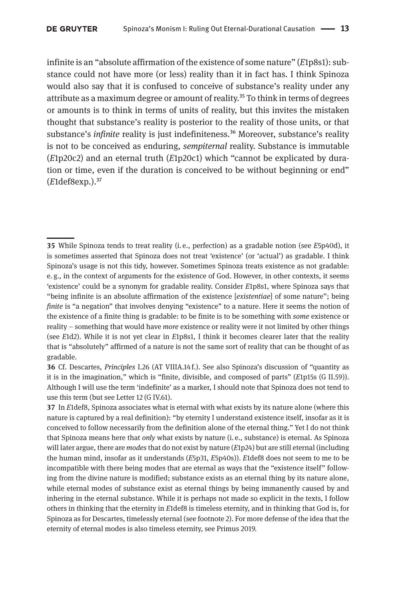infinite is an "absolute affirmation of the existence of some nature" (*E*1p8s1): substance could not have more (or less) reality than it in fact has. I think Spinoza would also say that it is confused to conceive of substance's reality under any attribute as a maximum degree or amount of reality.<sup>35</sup> To think in terms of degrees or amounts is to think in terms of units of reality, but this invites the mistaken thought that substance's reality is posterior to the reality of those units, or that substance's *infinite* reality is just indefiniteness.<sup>36</sup> Moreover, substance's reality is not to be conceived as enduring, *sempiternal* reality. Substance is immutable (*E*1p20c2) and an eternal truth (*E*1p20c1) which "cannot be explicated by duration or time, even if the duration is conceived to be without beginning or end" (*E*1def8exp.).37

**<sup>35</sup>** While Spinoza tends to treat reality (i. e., perfection) as a gradable notion (see *E*5p40d), it is sometimes asserted that Spinoza does not treat 'existence' (or 'actual') as gradable. I think Spinoza's usage is not this tidy, however. Sometimes Spinoza treats existence as not gradable: e. g., in the context of arguments for the existence of God. However, in other contexts, it seems 'existence' could be a synonym for gradable reality. Consider *E*1p8s1, where Spinoza says that "being infinite is an absolute affirmation of the existence [*existentiae*] of some nature"; being *finite* is "a negation" that involves denying "existence" to a nature. Here it seems the notion of the existence of a finite thing is gradable: to be finite is to be something with *some* existence or reality – something that would have *more* existence or reality were it not limited by other things (see *E*1d2). While it is not yet clear in *E*1p8s1, I think it becomes clearer later that the reality that is "absolutely" affirmed of a nature is not the same sort of reality that can be thought of as gradable.

**<sup>36</sup>** Cf. Descartes, *Principles* I.26 (AT VIIIA.14 f.). See also Spinoza's discussion of "quantity as it is in the imagination," which is "finite, divisible, and composed of parts" (*E*1p15s (G II.59)). Although I will use the term 'indefinite' as a marker, I should note that Spinoza does not tend to use this term (but see Letter 12 (G IV.61).

**<sup>37</sup>** In *E*1def8, Spinoza associates what is eternal with what exists by its nature alone (where this nature is captured by a real definition): "by eternity I understand existence itself, insofar as it is conceived to follow necessarily from the definition alone of the eternal thing." Yet I do not think that Spinoza means here that *only* what exists by nature (i. e., substance) is eternal. As Spinoza will later argue, there are *modes* that do not exist by nature (*E*1p24) but are still eternal (including the human mind, insofar as it understands (*E*5p31, *E*5p40s)). *E*1def8 does not seem to me to be incompatible with there being modes that are eternal as ways that the "existence itself" following from the divine nature is modified; substance exists as an eternal thing by its nature alone, while eternal modes of substance exist as eternal things by being immanently caused by and inhering in the eternal substance. While it is perhaps not made so explicit in the texts, I follow others in thinking that the eternity in *E*1def8 is timeless eternity, and in thinking that God is, for Spinoza as for Descartes, timelessly eternal (see footnote 2). For more defense of the idea that the eternity of eternal modes is also timeless eternity, see Primus 2019.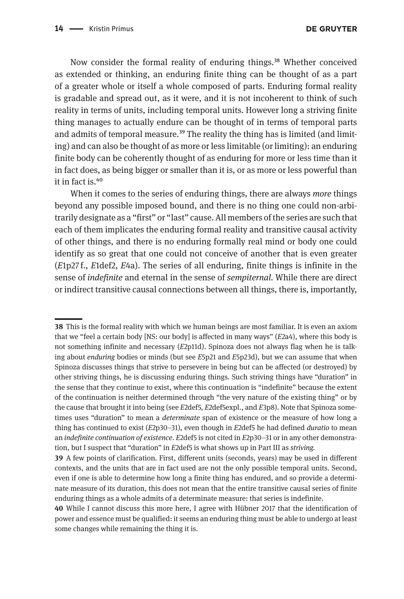Now consider the formal reality of enduring things.<sup>38</sup> Whether conceived as extended or thinking, an enduring finite thing can be thought of as a part of a greater whole or itself a whole composed of parts. Enduring formal reality is gradable and spread out, as it were, and it is not incoherent to think of such reality in terms of units, including temporal units. However long a striving finite thing manages to actually endure can be thought of in terms of temporal parts and admits of temporal measure.<sup>39</sup> The reality the thing has is limited (and limiting) and can also be thought of as more or less limitable (or limiting): an enduring finite body can be coherently thought of as enduring for more or less time than it in fact does, as being bigger or smaller than it is, or as more or less powerful than it in fact is.40

When it comes to the series of enduring things, there are always *more* things beyond any possible imposed bound, and there is no thing one could non-arbitrarily designate as a "first" or "last" cause. All members of the series are such that each of them implicates the enduring formal reality and transitive causal activity of other things, and there is no enduring formally real mind or body one could identify as so great that one could not conceive of another that is even greater (*E*1p27 f., *E*1def2, *E*4a). The series of all enduring, finite things is infinite in the sense of *indefinite* and eternal in the sense of *sempiternal.* While there are direct or indirect transitive causal connections between all things, there is, importantly,

**<sup>38</sup>** This is the formal reality with which we human beings are most familiar. It is even an axiom that we "feel a certain body [NS: our body] is affected in many ways" (*E*2a4), where this body is not something infinite and necessary (*E*2p11d). Spinoza does not always flag when he is talking about *enduring* bodies or minds (but see *E*5p21 and *E*5p23d), but we can assume that when Spinoza discusses things that strive to persevere in being but can be affected (or destroyed) by other striving things, he is discussing enduring things. Such striving things have "duration" in the sense that they continue to exist, where this continuation is "indefinite" because the extent of the continuation is neither determined through "the very nature of the existing thing" or by the cause that brought it into being (see *E*2def5, *E*2def5expl., and *E*3p8). Note that Spinoza sometimes uses "duration" to mean a *determinate* span of existence or the measure of how long a thing has continued to exist (*E*2p30–31), even though in *E*2def5 he had defined *duratio* to mean an *indefinite continuation of existence*. *E*2def5 is not cited in *E*2p30–31 or in any other demonstration, but I suspect that "duration" in *E*2def5 is what shows up in Part III as *striving.*

**<sup>39</sup>** A few points of clarification. First, different units (seconds, years) may be used in different contexts, and the units that are in fact used are not the only possible temporal units. Second, even if one is able to determine how long a finite thing has endured, and so provide a determinate measure of its duration, this does not mean that the entire transitive causal series of finite enduring things as a whole admits of a determinate measure: that series is indefinite.

**<sup>40</sup>** While I cannot discuss this more here, I agree with Hübner 2017 that the identification of power and essence must be qualified: it seems an enduring thing must be able to undergo at least some changes while remaining the thing it is.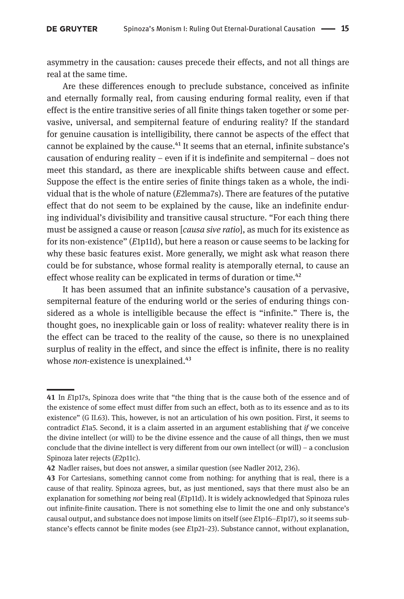asymmetry in the causation: causes precede their effects, and not all things are real at the same time.

Are these differences enough to preclude substance, conceived as infinite and eternally formally real, from causing enduring formal reality, even if that effect is the entire transitive series of all finite things taken together or some pervasive, universal, and sempiternal feature of enduring reality? If the standard for genuine causation is intelligibility, there cannot be aspects of the effect that cannot be explained by the cause.<sup>41</sup> It seems that an eternal, infinite substance's causation of enduring reality – even if it is indefinite and sempiternal – does not meet this standard, as there are inexplicable shifts between cause and effect. Suppose the effect is the entire series of finite things taken as a whole, the individual that is the whole of nature (*E*2lemma7s). There are features of the putative effect that do not seem to be explained by the cause, like an indefinite enduring individual's divisibility and transitive causal structure. "For each thing there must be assigned a cause or reason [*causa sive ratio*], as much for its existence as for its non-existence" (*E*1p11d), but here a reason or cause seems to be lacking for why these basic features exist. More generally, we might ask what reason there could be for substance, whose formal reality is atemporally eternal*,* to cause an effect whose reality can be explicated in terms of duration or time.<sup>42</sup>

It has been assumed that an infinite substance's causation of a pervasive, sempiternal feature of the enduring world or the series of enduring things considered as a whole is intelligible because the effect is "infinite." There is, the thought goes, no inexplicable gain or loss of reality: whatever reality there is in the effect can be traced to the reality of the cause, so there is no unexplained surplus of reality in the effect, and since the effect is infinite, there is no reality whose *non*-existence is unexplained.<sup>43</sup>

**<sup>41</sup>** In *E*1p17s, Spinoza does write that "the thing that is the cause both of the essence and of the existence of some effect must differ from such an effect, both as to its essence and as to its existence" (G II.63). This, however, is not an articulation of his own position. First, it seems to contradict *E*1a5. Second, it is a claim asserted in an argument establishing that *if* we conceive the divine intellect (or will) to be the divine essence and the cause of all things, then we must conclude that the divine intellect is very different from our own intellect (or will) – a conclusion Spinoza later rejects (*E*2p11c).

**<sup>42</sup>** Nadler raises, but does not answer, a similar question (see Nadler 2012, 236).

**<sup>43</sup>** For Cartesians, something cannot come from nothing: for anything that is real, there is a cause of that reality. Spinoza agrees, but, as just mentioned, says that there must also be an explanation for something *not* being real (*E*1p11d). It is widely acknowledged that Spinoza rules out infinite-finite causation. There is not something else to limit the one and only substance's causal output, and substance does not impose limits on itself (see *E*1p16–*E*1p17), so it seems substance's effects cannot be finite modes (see *E*1p21–23). Substance cannot, without explanation,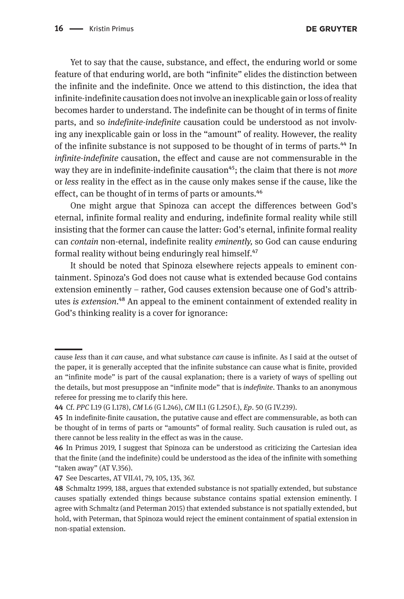Yet to say that the cause, substance, and effect, the enduring world or some feature of that enduring world, are both "infinite" elides the distinction between the infinite and the indefinite. Once we attend to this distinction, the idea that infinite-indefinite causation does not involve an inexplicable gain or loss of reality becomes harder to understand. The indefinite can be thought of in terms of finite parts, and so *indefinite-indefinite* causation could be understood as not involving any inexplicable gain or loss in the "amount" of reality. However, the reality of the infinite substance is not supposed to be thought of in terms of parts.<sup>44</sup> In *infinite-indefinite* causation, the effect and cause are not commensurable in the way they are in indefinite-indefinite causation<sup>45</sup>; the claim that there is not *more* or *less* reality in the effect as in the cause only makes sense if the cause, like the effect, can be thought of in terms of parts or amounts.<sup>46</sup>

One might argue that Spinoza can accept the differences between God's eternal, infinite formal reality and enduring, indefinite formal reality while still insisting that the former can cause the latter: God's eternal, infinite formal reality can *contain* non-eternal, indefinite reality *eminently,* so God can cause enduring formal reality without being enduringly real himself.47

It should be noted that Spinoza elsewhere rejects appeals to eminent containment. Spinoza's God does not cause what is extended because God contains extension eminently – rather, God causes extension because one of God's attributes *is extension*.48 An appeal to the eminent containment of extended reality in God's thinking reality is a cover for ignorance:

cause *less* than it *can* cause, and what substance *can* cause is infinite. As I said at the outset of the paper, it is generally accepted that the infinite substance can cause what is finite, provided an "infinite mode" is part of the causal explanation; there is a variety of ways of spelling out the details, but most presuppose an "infinite mode" that is *indefinite*. Thanks to an anonymous referee for pressing me to clarify this here.

**<sup>44</sup>** Cf. *PPC* I.19 (G I.178), *CM* I.6 (G I.246), *CM* II.1 (G I.250 f.), *Ep*. 50 (G IV.239).

**<sup>45</sup>** In indefinite-finite causation, the putative cause and effect are commensurable, as both can be thought of in terms of parts or "amounts" of formal reality. Such causation is ruled out, as there cannot be less reality in the effect as was in the cause.

**<sup>46</sup>** In Primus 2019, I suggest that Spinoza can be understood as criticizing the Cartesian idea that the finite (and the indefinite) could be understood as the idea of the infinite with something "taken away" (AT V.356).

**<sup>47</sup>** See Descartes, AT VII.41, 79, 105, 135, 367.

**<sup>48</sup>** Schmaltz 1999, 188, argues that extended substance is not spatially extended, but substance causes spatially extended things because substance contains spatial extension eminently. I agree with Schmaltz (and Peterman 2015) that extended substance is not spatially extended, but hold, with Peterman, that Spinoza would reject the eminent containment of spatial extension in non-spatial extension.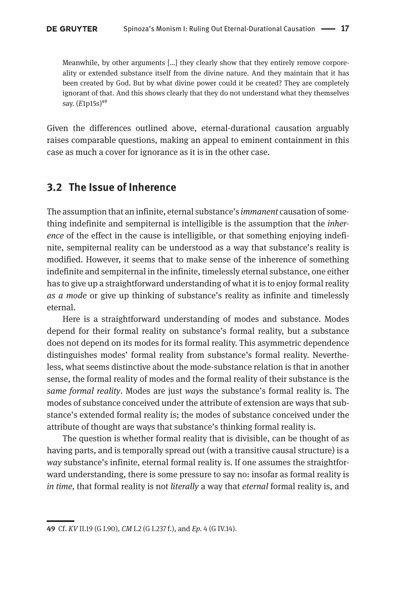Meanwhile, by other arguments […] they clearly show that they entirely remove corporeality or extended substance itself from the divine nature. And they maintain that it has been created by God. But by what divine power could it be created? They are completely ignorant of that. And this shows clearly that they do not understand what they themselves say.  $(E1p15s)^{49}$ 

Given the differences outlined above, eternal-durational causation arguably raises comparable questions, making an appeal to eminent containment in this case as much a cover for ignorance as it is in the other case.

#### **3.2 The Issue of Inherence**

The assumption that an infinite, eternal substance's *immanent* causation of something indefinite and sempiternal is intelligible is the assumption that the *inherence* of the effect in the cause is intelligible, or that something enjoying indefinite, sempiternal reality can be understood as a way that substance's reality is modified. However, it seems that to make sense of the inherence of something indefinite and sempiternal in the infinite, timelessly eternal substance, one either has to give up a straightforward understanding of what it is to enjoy formal reality *as a mode* or give up thinking of substance's reality as infinite and timelessly eternal.

Here is a straightforward understanding of modes and substance. Modes depend for their formal reality on substance's formal reality, but a substance does not depend on its modes for its formal reality. This asymmetric dependence distinguishes modes' formal reality from substance's formal reality. Nevertheless, what seems distinctive about the mode-substance relation is that in another sense, the formal reality of modes and the formal reality of their substance is the *same formal reality*. Modes are just *ways* the substance's formal reality is. The modes of substance conceived under the attribute of extension are ways that substance's extended formal reality is; the modes of substance conceived under the attribute of thought are ways that substance's thinking formal reality is.

The question is whether formal reality that is divisible, can be thought of as having parts, and is temporally spread out (with a transitive causal structure) is a *way* substance's infinite, eternal formal reality is. If one assumes the straightforward understanding, there is some pressure to say no: insofar as formal reality is *in time,* that formal reality is not *literally* a way that *eternal* formal reality is, and

**<sup>49</sup>** Cf. *KV* II.19 (G I.90), *CM* I.2 (G I.237 f.), and *Ep.* 4 (G IV.14).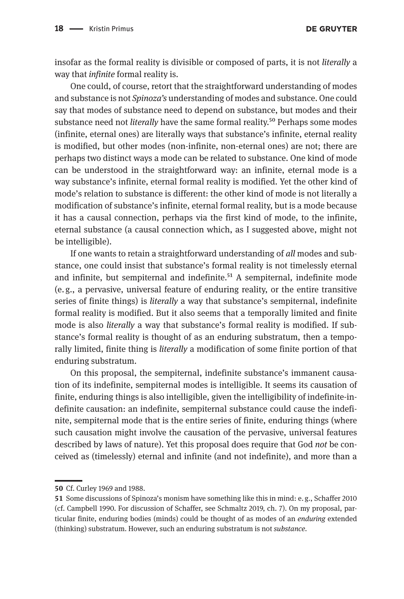**DE GRUYTER** 

insofar as the formal reality is divisible or composed of parts, it is not *literally* a way that *infinite* formal reality is.

One could, of course, retort that the straightforward understanding of modes and substance is not *Spinoza's* understanding of modes and substance. One could say that modes of substance need to depend on substance, but modes and their substance need not *literally* have the same formal reality.50 Perhaps some modes (infinite, eternal ones) are literally ways that substance's infinite, eternal reality is modified, but other modes (non-infinite, non-eternal ones) are not; there are perhaps two distinct ways a mode can be related to substance. One kind of mode can be understood in the straightforward way: an infinite, eternal mode is a way substance's infinite, eternal formal reality is modified. Yet the other kind of mode's relation to substance is different: the other kind of mode is not literally a modification of substance's infinite, eternal formal reality, but is a mode because it has a causal connection, perhaps via the first kind of mode, to the infinite, eternal substance (a causal connection which, as I suggested above, might not be intelligible).

If one wants to retain a straightforward understanding of *all* modes and substance, one could insist that substance's formal reality is not timelessly eternal and infinite, but sempiternal and indefinite.<sup>51</sup> A sempiternal, indefinite mode (e. g., a pervasive, universal feature of enduring reality, or the entire transitive series of finite things) is *literally* a way that substance's sempiternal, indefinite formal reality is modified. But it also seems that a temporally limited and finite mode is also *literally* a way that substance's formal reality is modified. If substance's formal reality is thought of as an enduring substratum, then a temporally limited, finite thing is *literally* a modification of some finite portion of that enduring substratum.

On this proposal, the sempiternal, indefinite substance's immanent causation of its indefinite, sempiternal modes is intelligible. It seems its causation of finite, enduring things is also intelligible, given the intelligibility of indefinite-indefinite causation: an indefinite, sempiternal substance could cause the indefinite, sempiternal mode that is the entire series of finite, enduring things (where such causation might involve the causation of the pervasive, universal features described by laws of nature). Yet this proposal does require that God *not* be conceived as (timelessly) eternal and infinite (and not indefinite), and more than a

**<sup>50</sup>** Cf. Curley 1969 and 1988.

**<sup>51</sup>** Some discussions of Spinoza's monism have something like this in mind: e. g., Schaffer 2010 (cf. Campbell 1990. For discussion of Schaffer, see Schmaltz 2019, ch. 7). On my proposal, particular finite, enduring bodies (minds) could be thought of as modes of an *enduring* extended (thinking) substratum. However, such an enduring substratum is not *substance.*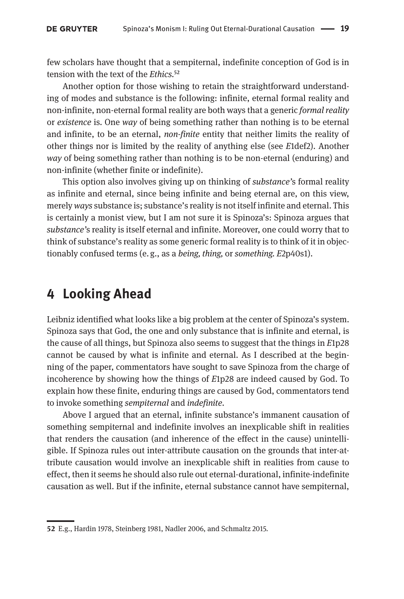few scholars have thought that a sempiternal, indefinite conception of God is in tension with the text of the *Ethics.*52

Another option for those wishing to retain the straightforward understanding of modes and substance is the following: infinite, eternal formal reality and non-infinite, non-eternal formal reality are both ways that a generic *formal reality* or *existence* is. One *way* of being something rather than nothing is to be eternal and infinite, to be an eternal, *non-finite* entity that neither limits the reality of other things nor is limited by the reality of anything else (see *E*1def2). Another *way* of being something rather than nothing is to be non-eternal (enduring) and non-infinite (whether finite or indefinite).

This option also involves giving up on thinking of *substance'*s formal reality as infinite and eternal, since being infinite and being eternal are, on this view, merely *ways* substance is; substance's reality is not itself infinite and eternal. This is certainly a monist view, but I am not sure it is Spinoza's: Spinoza argues that *substance'*s reality is itself eternal and infinite. Moreover, one could worry that to think of substance's reality as some generic formal reality is to think of it in objectionably confused terms (e. g., as a *being, thing,* or *something. E*2p40s1).

### **4 Looking Ahead**

Leibniz identified what looks like a big problem at the center of Spinoza's system. Spinoza says that God, the one and only substance that is infinite and eternal, is the cause of all things, but Spinoza also seems to suggest that the things in *E*1p28 cannot be caused by what is infinite and eternal. As I described at the beginning of the paper, commentators have sought to save Spinoza from the charge of incoherence by showing how the things of *E*1p28 are indeed caused by God. To explain how these finite, enduring things are caused by God, commentators tend to invoke something *sempiternal* and *indefinite.*

Above I argued that an eternal, infinite substance's immanent causation of something sempiternal and indefinite involves an inexplicable shift in realities that renders the causation (and inherence of the effect in the cause) unintelligible. If Spinoza rules out inter-attribute causation on the grounds that inter-attribute causation would involve an inexplicable shift in realities from cause to effect, then it seems he should also rule out eternal-durational, infinite-indefinite causation as well. But if the infinite, eternal substance cannot have sempiternal,

**<sup>52</sup>** E.g., Hardin 1978, Steinberg 1981, Nadler 2006, and Schmaltz 2015.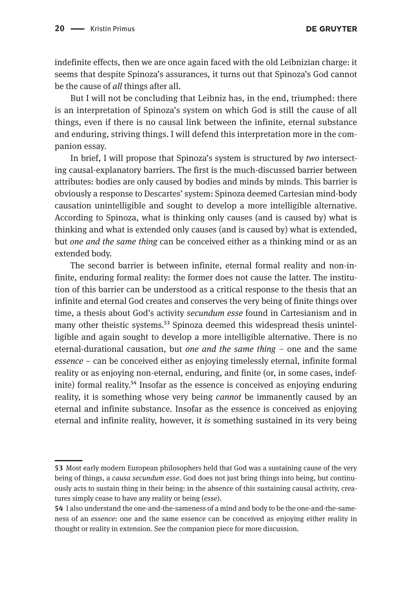indefinite effects, then we are once again faced with the old Leibnizian charge: it seems that despite Spinoza's assurances, it turns out that Spinoza's God cannot be the cause of *all* things after all.

But I will not be concluding that Leibniz has, in the end, triumphed: there is an interpretation of Spinoza's system on which God is still the cause of all things, even if there is no causal link between the infinite, eternal substance and enduring, striving things. I will defend this interpretation more in the companion essay.

In brief, I will propose that Spinoza's system is structured by *two* intersecting causal-explanatory barriers. The first is the much-discussed barrier between attributes: bodies are only caused by bodies and minds by minds. This barrier is obviously a response to Descartes' system: Spinoza deemed Cartesian mind-body causation unintelligible and sought to develop a more intelligible alternative. According to Spinoza, what is thinking only causes (and is caused by) what is thinking and what is extended only causes (and is caused by) what is extended, but *one and the same thing* can be conceived either as a thinking mind or as an extended body.

The second barrier is between infinite, eternal formal reality and non-infinite, enduring formal reality: the former does not cause the latter. The institution of this barrier can be understood as a critical response to the thesis that an infinite and eternal God creates and conserves the very being of finite things over time, a thesis about God's activity *secundum esse* found in Cartesianism and in many other theistic systems.<sup>53</sup> Spinoza deemed this widespread thesis unintelligible and again sought to develop a more intelligible alternative. There is no eternal-durational causation, but *one and the same thing –* one and the same *essence –* can be conceived either as enjoying timelessly eternal, infinite formal reality or as enjoying non-eternal, enduring, and finite (or, in some cases, indefinite) formal reality.<sup>54</sup> Insofar as the essence is conceived as enjoying enduring reality, it is something whose very being *cannot* be immanently caused by an eternal and infinite substance. Insofar as the essence is conceived as enjoying eternal and infinite reality, however, it *is* something sustained in its very being

**<sup>53</sup>** Most early modern European philosophers held that God was a sustaining cause of the very being of things, a *causa secundum esse*. God does not just bring things into being, but continuously acts to sustain thing in their being: in the absence of this sustaining causal activity, creatures simply cease to have any reality or being (*esse*).

**<sup>54</sup>** I also understand the one-and-the-sameness of a mind and body to be the one-and-the-sameness of an *essence*: one and the same essence can be conceived as enjoying either reality in thought or reality in extension. See the companion piece for more discussion.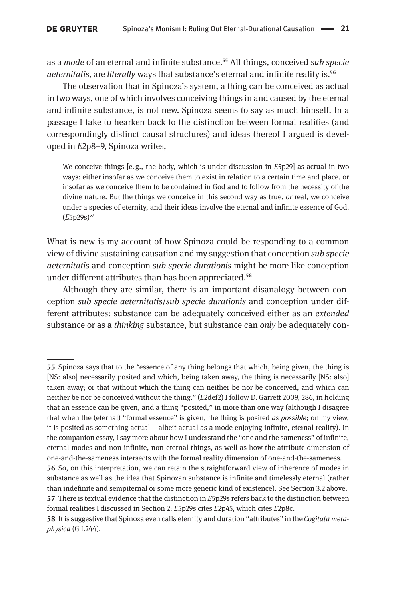as a *mode* of an eternal and infinite substance.55 All things, conceived *sub specie aeternitatis,* are *literally* ways that substance's eternal and infinite reality is.56

The observation that in Spinoza's system, a thing can be conceived as actual in two ways, one of which involves conceiving things in and caused by the eternal and infinite substance, is not new. Spinoza seems to say as much himself. In a passage I take to hearken back to the distinction between formal realities (and correspondingly distinct causal structures) and ideas thereof I argued is developed in *E*2p8–9, Spinoza writes,

We conceive things [e. g., the body, which is under discussion in *E*5p29] as actual in two ways: either insofar as we conceive them to exist in relation to a certain time and place, or insofar as we conceive them to be contained in God and to follow from the necessity of the divine nature. But the things we conceive in this second way as true, *or* real, we conceive under a species of eternity, and their ideas involve the eternal and infinite essence of God. (*E*5p29s)<sup>57</sup>

What is new is my account of how Spinoza could be responding to a common view of divine sustaining causation and my suggestion that conception *sub specie aeternitatis* and conception *sub specie durationis* might be more like conception under different attributes than has been appreciated.<sup>58</sup>

Although they are similar, there is an important disanalogy between conception *sub specie aeternitatis*/*sub specie durationis* and conception under different attributes: substance can be adequately conceived either as an *extended* substance or as a *thinking* substance, but substance can *only* be adequately con-

**<sup>55</sup>** Spinoza says that to the "essence of any thing belongs that which, being given, the thing is [NS: also] necessarily posited and which, being taken away, the thing is necessarily [NS: also] taken away; or that without which the thing can neither be nor be conceived, and which can neither be nor be conceived without the thing." (*E*2def2) I follow D. Garrett 2009, 286, in holding that an essence can be given, and a thing "posited," in more than one way (although I disagree that when the (eternal) "formal essence" is given, the thing is posited *as possible*; on my view, it is posited as something actual – albeit actual as a mode enjoying infinite, eternal reality). In the companion essay, I say more about how I understand the "one and the sameness" of infinite, eternal modes and non-infinite, non-eternal things, as well as how the attribute dimension of one-and-the-sameness intersects with the formal reality dimension of one-and-the-sameness.

**<sup>56</sup>** So, on this interpretation, we can retain the straightforward view of inherence of modes in substance as well as the idea that Spinozan substance is infinite and timelessly eternal (rather than indefinite and sempiternal or some more generic kind of existence). See Section 3.2 above. **57** There is textual evidence that the distinction in *E*5p29s refers back to the distinction between formal realities I discussed in Section 2: *E*5p29s cites *E*2p45, which cites *E*2p8c.

**<sup>58</sup>** It is suggestive that Spinoza even calls eternity and duration "attributes" in the *Cogitata metaphysica* (G I.244).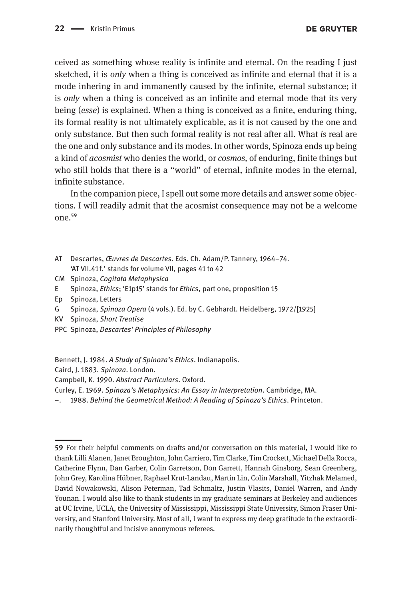ceived as something whose reality is infinite and eternal. On the reading I just sketched, it is *only* when a thing is conceived as infinite and eternal that it is a mode inhering in and immanently caused by the infinite, eternal substance; it is *only* when a thing is conceived as an infinite and eternal mode that its very being (*esse*) is explained. When a thing is conceived as a finite, enduring thing, its formal reality is not ultimately explicable, as it is not caused by the one and only substance. But then such formal reality is not real after all. What *is* real are the one and only substance and its modes. In other words, Spinoza ends up being a kind of *acosmist* who denies the world, or *cosmos,* of enduring, finite things but who still holds that there is a "world" of eternal, infinite modes in the eternal, infinite substance.

In the companion piece, I spell out some more details and answer some objections. I will readily admit that the acosmist consequence may not be a welcome one.59

- AT Descartes, *Œuvres de Descartes*. Eds. Ch. Adam/P. Tannery, 1964–74. 'AT VII.41 f.' stands for volume VII, pages 41 to 42
- CM Spinoza, *Cogitata Metaphysica*
- E Spinoza, *Ethics*; 'E1p15' stands for *Ethic*s, part one, proposition 15
- Ep Spinoza, Letters
- G Spinoza, *Spinoza Opera* (4 vols.). Ed. by C. Gebhardt. Heidelberg, 1972/[1925]
- KV Spinoza, *Short Treatise*
- PPC Spinoza, *Descartes' Principles of Philosophy*
- Bennett, J. 1984. *A Study of Spinoza's Ethics*. Indianapolis.
- Caird, J. 1883. *Spinoza*. London.
- Campbell, K. 1990. *Abstract Particulars*. Oxford.
- Curley, E. 1969. *Spinoza's Metaphysics: An Essay in Interpretation*. Cambridge, MA.
- –. 1988. *Behind the Geometrical Method: A Reading of Spinoza's Ethics*. Princeton.

**<sup>59</sup>** For their helpful comments on drafts and/or conversation on this material, I would like to thank Lilli Alanen, Janet Broughton, John Carriero, Tim Clarke, Tim Crockett, Michael Della Rocca, Catherine Flynn, Dan Garber, Colin Garretson, Don Garrett, Hannah Ginsborg, Sean Greenberg, John Grey, Karolina Hübner, Raphael Krut-Landau, Martin Lin, Colin Marshall, Yitzhak Melamed, David Nowakowski, Alison Peterman, Tad Schmaltz, Justin Vlasits, Daniel Warren, and Andy Younan. I would also like to thank students in my graduate seminars at Berkeley and audiences at UC Irvine, UCLA, the University of Mississippi, Mississippi State University, Simon Fraser University, and Stanford University. Most of all, I want to express my deep gratitude to the extraordinarily thoughtful and incisive anonymous referees.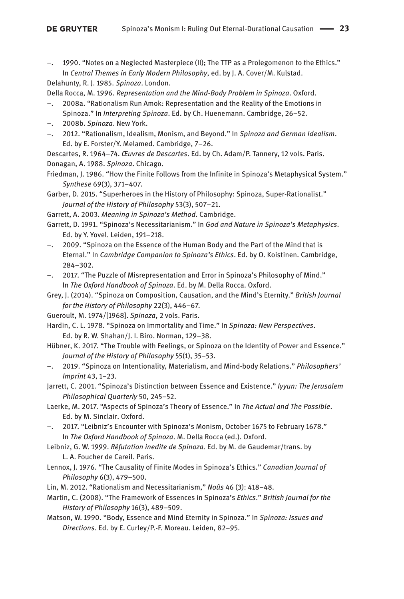1990. "Notes on a Neglected Masterpiece (II); The TTP as a Prolegomenon to the Ethics." In *Central Themes in Early Modern Philosophy*, ed. by J. A. Cover/M. Kulstad. Delahunty, R. J. 1985. *Spinoza*. London.

Della Rocca, M. 1996. *Representation and the Mind-Body Problem in Spinoza*. Oxford.

- 2008a. "Rationalism Run Amok: Representation and the Reality of the Emotions in Spinoza." In *Interpreting Spinoza*. Ed. by Ch. Huenemann. Cambridge, 26–52.
- –. 2008b. *Spinoza*. New York.
- –. 2012. "Rationalism, Idealism, Monism, and Beyond." In *Spinoza and German Idealism*. Ed. by E. Forster/Y. Melamed. Cambridge, 7–26.

Descartes, R. 1964–74. *Œuvres de Descartes*. Ed. by Ch. Adam/P. Tannery, 12 vols. Paris. Donagan, A. 1988. *Spinoza*. Chicago.

Friedman, J. 1986. "How the Finite Follows from the Infinite in Spinoza's Metaphysical System." *Synthese* 69(3), 371–407.

Garber, D. 2015. "Superheroes in the History of Philosophy: Spinoza, Super-Rationalist." *Journal of the History of Philosophy* 53(3), 507–21.

Garrett, A. 2003. *Meaning in Spinoza's Method*. Cambridge.

- Garrett, D. 1991. "Spinoza's Necessitarianism." In *God and Nature in Spinoza's Metaphysics*. Ed. by Y. Yovel. Leiden, 191–218.
- –. 2009. "Spinoza on the Essence of the Human Body and the Part of the Mind that is Eternal." In *Cambridge Companion to Spinoza's Ethics*. Ed. by O. Koistinen. Cambridge, 284–302.
- –. 2017. "The Puzzle of Misrepresentation and Error in Spinoza's Philosophy of Mind." In *The Oxford Handbook of Spinoza*. Ed. by M. Della Rocca. Oxford.
- Grey, J. (2014). "Spinoza on Composition, Causation, and the Mind's Eternity." *British Journal for the History of Philosophy* 22(3), 446–67.
- Gueroult, M. 1974/[1968]. *Spinoza*, 2 vols. Paris.

Hardin, C. L. 1978. "Spinoza on Immortality and Time." In *Spinoza: New Perspectives*. Ed. by R. W. Shahan/J. I. Biro. Norman, 129–38.

- Hübner, K. 2017. "The Trouble with Feelings, or Spinoza on the Identity of Power and Essence." *Journal of the History of Philosophy* 55(1), 35–53.
- –. 2019. "Spinoza on Intentionality, Materialism, and Mind-body Relations." *Philosophers' Imprint* 43, 1–23*.*

Jarrett, C. 2001. "Spinoza's Distinction between Essence and Existence." *Iyyun: The Jerusalem Philosophical Quarterly* 50, 245–52.

Laerke, M. 2017. "Aspects of Spinoza's Theory of Essence." In *The Actual and The Possible*. Ed. by M. Sinclair. Oxford.

- –. 2017. "Leibniz's Encounter with Spinoza's Monism, October 1675 to February 1678." In *The Oxford Handbook of Spinoza*. M. Della Rocca (ed.). Oxford.
- Leibniz, G. W. 1999. *Réfutation inedite de Spinoza.* Ed. by M. de Gaudemar/trans. by L. A. Foucher de Careil. Paris.
- Lennox, J. 1976. "The Causality of Finite Modes in Spinoza's Ethics." *Canadian Journal of Philosophy* 6(3), 479–500.
- Lin, M. 2012. "Rationalism and Necessitarianism," *Noûs* 46 (3): 418–48.
- Martin, C. (2008). "The Framework of Essences in Spinoza's *Ethics*." *British Journal for the History of Philosophy* 16(3), 489–509.
- Matson, W. 1990. "Body, Essence and Mind Eternity in Spinoza." In *Spinoza: Issues and Directions*. Ed. by E. Curley/P.-F. Moreau. Leiden, 82–95.